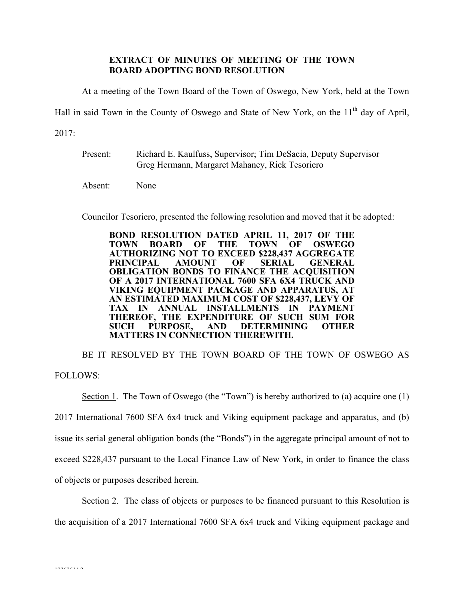## **EXTRACT OF MINUTES OF MEETING OF THE TOWN BOARD ADOPTING BOND RESOLUTION**

At a meeting of the Town Board of the Town of Oswego, New York, held at the Town

Hall in said Town in the County of Oswego and State of New York, on the 11<sup>th</sup> day of April,

2017:

Present: Richard E. Kaulfuss, Supervisor; Tim DeSacia, Deputy Supervisor Greg Hermann, Margaret Mahaney, Rick Tesoriero

Absent: None

Councilor Tesoriero, presented the following resolution and moved that it be adopted:

**BOND RESOLUTION DATED APRIL 11, 2017 OF THE TOWN BOARD OF THE TOWN OF OSWEGO AUTHORIZING NOT TO EXCEED \$228,437 AGGREGATE PRINCIPAL AMOUNT OF SERIAL GENERAL OBLIGATION BONDS TO FINANCE THE ACQUISITION OF A 2017 INTERNATIONAL 7600 SFA 6X4 TRUCK AND VIKING EQUIPMENT PACKAGE AND APPARATUS, AT AN ESTIMATED MAXIMUM COST OF \$228,437, LEVY OF TAX IN ANNUAL INSTALLMENTS IN PAYMENT THEREOF, THE EXPENDITURE OF SUCH SUM FOR SUCH PURPOSE, AND DETERMINING OTHER MATTERS IN CONNECTION THEREWITH.**

BE IT RESOLVED BY THE TOWN BOARD OF THE TOWN OF OSWEGO AS FOLLOWS:

Section 1. The Town of Oswego (the "Town") is hereby authorized to (a) acquire one (1) 2017 International 7600 SFA 6x4 truck and Viking equipment package and apparatus, and (b) issue its serial general obligation bonds (the "Bonds") in the aggregate principal amount of not to exceed \$228,437 pursuant to the Local Finance Law of New York, in order to finance the class of objects or purposes described herein.

Section 2. The class of objects or purposes to be financed pursuant to this Resolution is the acquisition of a 2017 International 7600 SFA 6x4 truck and Viking equipment package and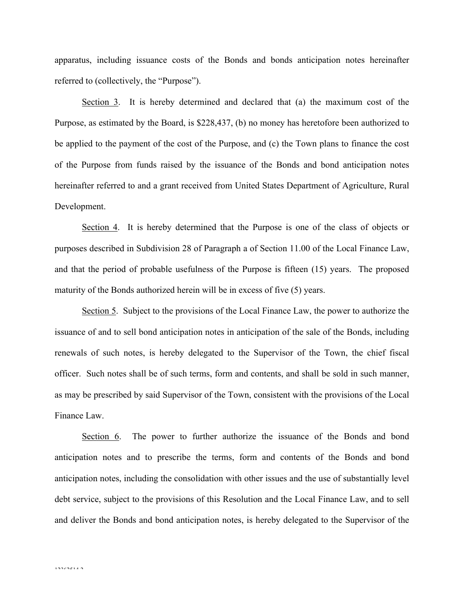apparatus, including issuance costs of the Bonds and bonds anticipation notes hereinafter referred to (collectively, the "Purpose").

Section 3. It is hereby determined and declared that (a) the maximum cost of the Purpose, as estimated by the Board, is \$228,437, (b) no money has heretofore been authorized to be applied to the payment of the cost of the Purpose, and (c) the Town plans to finance the cost of the Purpose from funds raised by the issuance of the Bonds and bond anticipation notes hereinafter referred to and a grant received from United States Department of Agriculture, Rural Development.

Section 4. It is hereby determined that the Purpose is one of the class of objects or purposes described in Subdivision 28 of Paragraph a of Section 11.00 of the Local Finance Law, and that the period of probable usefulness of the Purpose is fifteen (15) years. The proposed maturity of the Bonds authorized herein will be in excess of five (5) years.

Section 5. Subject to the provisions of the Local Finance Law, the power to authorize the issuance of and to sell bond anticipation notes in anticipation of the sale of the Bonds, including renewals of such notes, is hereby delegated to the Supervisor of the Town, the chief fiscal officer. Such notes shall be of such terms, form and contents, and shall be sold in such manner, as may be prescribed by said Supervisor of the Town, consistent with the provisions of the Local Finance Law.

Section 6. The power to further authorize the issuance of the Bonds and bond anticipation notes and to prescribe the terms, form and contents of the Bonds and bond anticipation notes, including the consolidation with other issues and the use of substantially level debt service, subject to the provisions of this Resolution and the Local Finance Law, and to sell and deliver the Bonds and bond anticipation notes, is hereby delegated to the Supervisor of the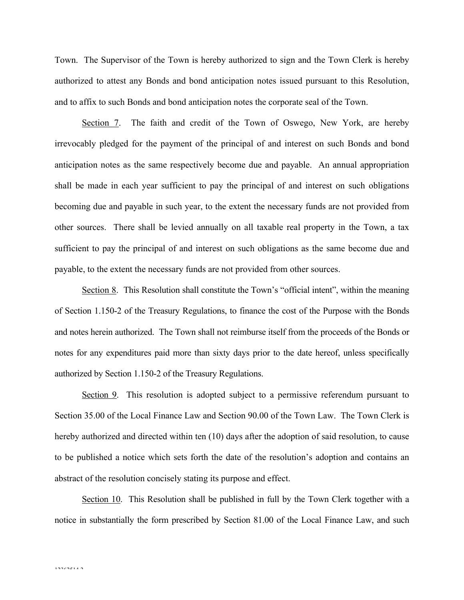Town. The Supervisor of the Town is hereby authorized to sign and the Town Clerk is hereby authorized to attest any Bonds and bond anticipation notes issued pursuant to this Resolution, and to affix to such Bonds and bond anticipation notes the corporate seal of the Town.

Section 7. The faith and credit of the Town of Oswego, New York, are hereby irrevocably pledged for the payment of the principal of and interest on such Bonds and bond anticipation notes as the same respectively become due and payable. An annual appropriation shall be made in each year sufficient to pay the principal of and interest on such obligations becoming due and payable in such year, to the extent the necessary funds are not provided from other sources. There shall be levied annually on all taxable real property in the Town, a tax sufficient to pay the principal of and interest on such obligations as the same become due and payable, to the extent the necessary funds are not provided from other sources.

Section 8. This Resolution shall constitute the Town's "official intent", within the meaning of Section 1.150-2 of the Treasury Regulations, to finance the cost of the Purpose with the Bonds and notes herein authorized. The Town shall not reimburse itself from the proceeds of the Bonds or notes for any expenditures paid more than sixty days prior to the date hereof, unless specifically authorized by Section 1.150-2 of the Treasury Regulations.

Section 9. This resolution is adopted subject to a permissive referendum pursuant to Section 35.00 of the Local Finance Law and Section 90.00 of the Town Law. The Town Clerk is hereby authorized and directed within ten (10) days after the adoption of said resolution, to cause to be published a notice which sets forth the date of the resolution's adoption and contains an abstract of the resolution concisely stating its purpose and effect.

Section 10. This Resolution shall be published in full by the Town Clerk together with a notice in substantially the form prescribed by Section 81.00 of the Local Finance Law, and such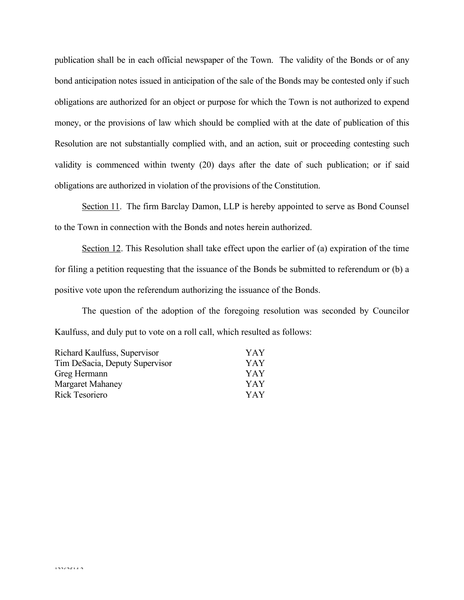publication shall be in each official newspaper of the Town. The validity of the Bonds or of any bond anticipation notes issued in anticipation of the sale of the Bonds may be contested only if such obligations are authorized for an object or purpose for which the Town is not authorized to expend money, or the provisions of law which should be complied with at the date of publication of this Resolution are not substantially complied with, and an action, suit or proceeding contesting such validity is commenced within twenty (20) days after the date of such publication; or if said obligations are authorized in violation of the provisions of the Constitution.

Section 11. The firm Barclay Damon, LLP is hereby appointed to serve as Bond Counsel to the Town in connection with the Bonds and notes herein authorized.

Section 12. This Resolution shall take effect upon the earlier of (a) expiration of the time for filing a petition requesting that the issuance of the Bonds be submitted to referendum or (b) a positive vote upon the referendum authorizing the issuance of the Bonds.

The question of the adoption of the foregoing resolution was seconded by Councilor Kaulfuss, and duly put to vote on a roll call, which resulted as follows:

| Richard Kaulfuss, Supervisor   | YAY |
|--------------------------------|-----|
| Tim DeSacia, Deputy Supervisor | YAY |
| Greg Hermann                   | YAY |
| <b>Margaret Mahaney</b>        | YAY |
| Rick Tesoriero                 | YAY |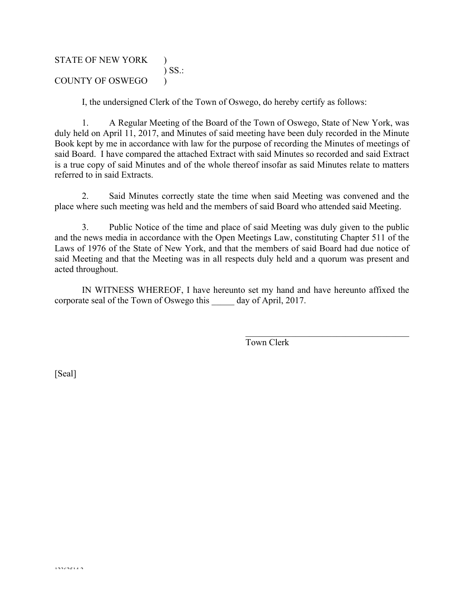# STATE OF NEW YORK ) ) SS.: COUNTY OF OSWEGO )

I, the undersigned Clerk of the Town of Oswego, do hereby certify as follows:

1. A Regular Meeting of the Board of the Town of Oswego, State of New York, was duly held on April 11, 2017, and Minutes of said meeting have been duly recorded in the Minute Book kept by me in accordance with law for the purpose of recording the Minutes of meetings of said Board. I have compared the attached Extract with said Minutes so recorded and said Extract is a true copy of said Minutes and of the whole thereof insofar as said Minutes relate to matters referred to in said Extracts.

2. Said Minutes correctly state the time when said Meeting was convened and the place where such meeting was held and the members of said Board who attended said Meeting.

3. Public Notice of the time and place of said Meeting was duly given to the public and the news media in accordance with the Open Meetings Law, constituting Chapter 511 of the Laws of 1976 of the State of New York, and that the members of said Board had due notice of said Meeting and that the Meeting was in all respects duly held and a quorum was present and acted throughout.

IN WITNESS WHEREOF, I have hereunto set my hand and have hereunto affixed the corporate seal of the Town of Oswego this day of April, 2017.

Town Clerk

 $\mathcal{L}_\text{max}$  , and the set of the set of the set of the set of the set of the set of the set of the set of the set of the set of the set of the set of the set of the set of the set of the set of the set of the set of the

[Seal]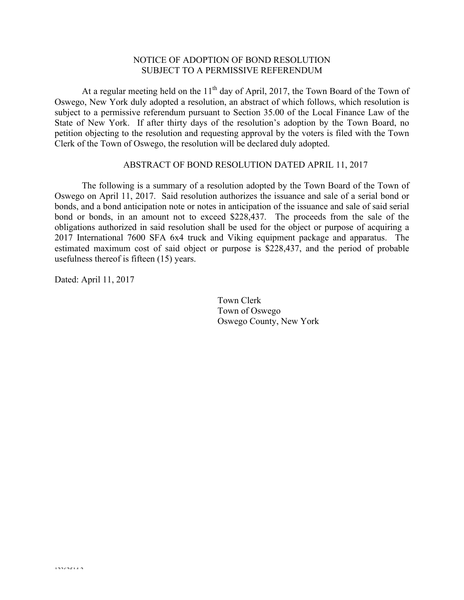## NOTICE OF ADOPTION OF BOND RESOLUTION SUBJECT TO A PERMISSIVE REFERENDUM

At a regular meeting held on the  $11<sup>th</sup>$  day of April, 2017, the Town Board of the Town of Oswego, New York duly adopted a resolution, an abstract of which follows, which resolution is subject to a permissive referendum pursuant to Section 35.00 of the Local Finance Law of the State of New York. If after thirty days of the resolution's adoption by the Town Board, no petition objecting to the resolution and requesting approval by the voters is filed with the Town Clerk of the Town of Oswego, the resolution will be declared duly adopted.

#### ABSTRACT OF BOND RESOLUTION DATED APRIL 11, 2017

The following is a summary of a resolution adopted by the Town Board of the Town of Oswego on April 11, 2017. Said resolution authorizes the issuance and sale of a serial bond or bonds, and a bond anticipation note or notes in anticipation of the issuance and sale of said serial bond or bonds, in an amount not to exceed \$228,437. The proceeds from the sale of the obligations authorized in said resolution shall be used for the object or purpose of acquiring a 2017 International 7600 SFA 6x4 truck and Viking equipment package and apparatus. The estimated maximum cost of said object or purpose is \$228,437, and the period of probable usefulness thereof is fifteen (15) years.

Dated: April 11, 2017

Town Clerk Town of Oswego Oswego County, New York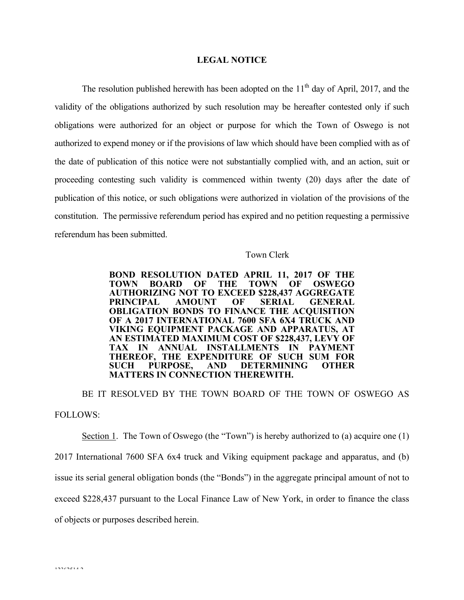#### **LEGAL NOTICE**

The resolution published herewith has been adopted on the  $11<sup>th</sup>$  day of April, 2017, and the validity of the obligations authorized by such resolution may be hereafter contested only if such obligations were authorized for an object or purpose for which the Town of Oswego is not authorized to expend money or if the provisions of law which should have been complied with as of the date of publication of this notice were not substantially complied with, and an action, suit or proceeding contesting such validity is commenced within twenty (20) days after the date of publication of this notice, or such obligations were authorized in violation of the provisions of the constitution. The permissive referendum period has expired and no petition requesting a permissive referendum has been submitted.

### Town Clerk

**BOND RESOLUTION DATED APRIL 11, 2017 OF THE TOWN BOARD OF THE TOWN OF OSWEGO AUTHORIZING NOT TO EXCEED \$228,437 AGGREGATE PRINCIPAL AMOUNT OF SERIAL GENERAL OBLIGATION BONDS TO FINANCE THE ACQUISITION OF A 2017 INTERNATIONAL 7600 SFA 6X4 TRUCK AND VIKING EQUIPMENT PACKAGE AND APPARATUS, AT AN ESTIMATED MAXIMUM COST OF \$228,437, LEVY OF TAX IN ANNUAL INSTALLMENTS IN PAYMENT THEREOF, THE EXPENDITURE OF SUCH SUM FOR SUCH PURPOSE, AND DETERMINING OTHER MATTERS IN CONNECTION THEREWITH.**

BE IT RESOLVED BY THE TOWN BOARD OF THE TOWN OF OSWEGO AS FOLLOWS:

Section 1. The Town of Oswego (the "Town") is hereby authorized to (a) acquire one (1) 2017 International 7600 SFA 6x4 truck and Viking equipment package and apparatus, and (b) issue its serial general obligation bonds (the "Bonds") in the aggregate principal amount of not to exceed \$228,437 pursuant to the Local Finance Law of New York, in order to finance the class of objects or purposes described herein.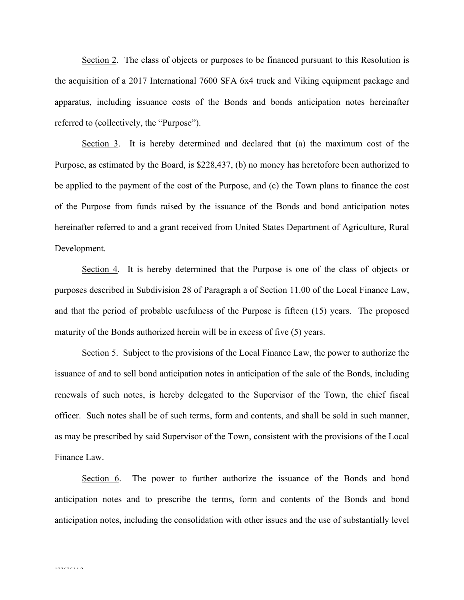Section 2. The class of objects or purposes to be financed pursuant to this Resolution is the acquisition of a 2017 International 7600 SFA 6x4 truck and Viking equipment package and apparatus, including issuance costs of the Bonds and bonds anticipation notes hereinafter referred to (collectively, the "Purpose").

Section 3. It is hereby determined and declared that (a) the maximum cost of the Purpose, as estimated by the Board, is \$228,437, (b) no money has heretofore been authorized to be applied to the payment of the cost of the Purpose, and (c) the Town plans to finance the cost of the Purpose from funds raised by the issuance of the Bonds and bond anticipation notes hereinafter referred to and a grant received from United States Department of Agriculture, Rural Development.

Section 4. It is hereby determined that the Purpose is one of the class of objects or purposes described in Subdivision 28 of Paragraph a of Section 11.00 of the Local Finance Law, and that the period of probable usefulness of the Purpose is fifteen (15) years. The proposed maturity of the Bonds authorized herein will be in excess of five (5) years.

Section 5. Subject to the provisions of the Local Finance Law, the power to authorize the issuance of and to sell bond anticipation notes in anticipation of the sale of the Bonds, including renewals of such notes, is hereby delegated to the Supervisor of the Town, the chief fiscal officer. Such notes shall be of such terms, form and contents, and shall be sold in such manner, as may be prescribed by said Supervisor of the Town, consistent with the provisions of the Local Finance Law.

Section 6. The power to further authorize the issuance of the Bonds and bond anticipation notes and to prescribe the terms, form and contents of the Bonds and bond anticipation notes, including the consolidation with other issues and the use of substantially level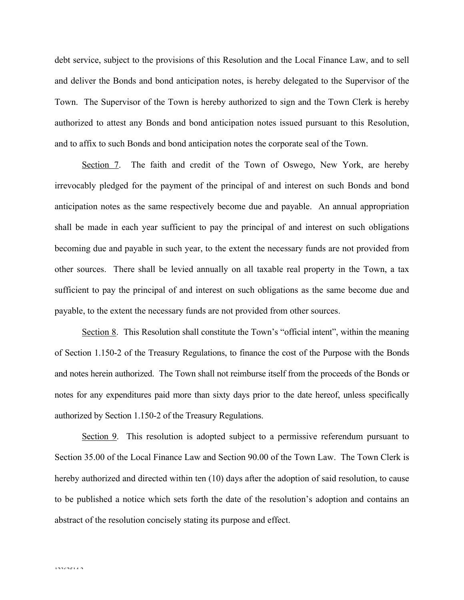debt service, subject to the provisions of this Resolution and the Local Finance Law, and to sell and deliver the Bonds and bond anticipation notes, is hereby delegated to the Supervisor of the Town. The Supervisor of the Town is hereby authorized to sign and the Town Clerk is hereby authorized to attest any Bonds and bond anticipation notes issued pursuant to this Resolution, and to affix to such Bonds and bond anticipation notes the corporate seal of the Town.

Section 7. The faith and credit of the Town of Oswego, New York, are hereby irrevocably pledged for the payment of the principal of and interest on such Bonds and bond anticipation notes as the same respectively become due and payable. An annual appropriation shall be made in each year sufficient to pay the principal of and interest on such obligations becoming due and payable in such year, to the extent the necessary funds are not provided from other sources. There shall be levied annually on all taxable real property in the Town, a tax sufficient to pay the principal of and interest on such obligations as the same become due and payable, to the extent the necessary funds are not provided from other sources.

Section 8. This Resolution shall constitute the Town's "official intent", within the meaning of Section 1.150-2 of the Treasury Regulations, to finance the cost of the Purpose with the Bonds and notes herein authorized. The Town shall not reimburse itself from the proceeds of the Bonds or notes for any expenditures paid more than sixty days prior to the date hereof, unless specifically authorized by Section 1.150-2 of the Treasury Regulations.

Section 9. This resolution is adopted subject to a permissive referendum pursuant to Section 35.00 of the Local Finance Law and Section 90.00 of the Town Law. The Town Clerk is hereby authorized and directed within ten (10) days after the adoption of said resolution, to cause to be published a notice which sets forth the date of the resolution's adoption and contains an abstract of the resolution concisely stating its purpose and effect.